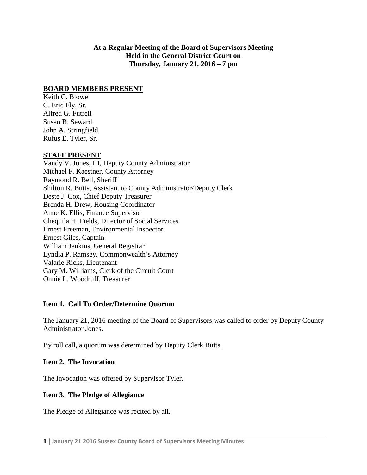**At a Regular Meeting of the Board of Supervisors Meeting Held in the General District Court on Thursday, January 21, 2016 – 7 pm**

### **BOARD MEMBERS PRESENT**

Keith C. Blowe C. Eric Fly, Sr. Alfred G. Futrell Susan B. Seward John A. Stringfield Rufus E. Tyler, Sr.

### **STAFF PRESENT**

Vandy V. Jones, III, Deputy County Administrator Michael F. Kaestner, County Attorney Raymond R. Bell, Sheriff Shilton R. Butts, Assistant to County Administrator/Deputy Clerk Deste J. Cox, Chief Deputy Treasurer Brenda H. Drew, Housing Coordinator Anne K. Ellis, Finance Supervisor Chequila H. Fields, Director of Social Services Ernest Freeman, Environmental Inspector Ernest Giles, Captain William Jenkins, General Registrar Lyndia P. Ramsey, Commonwealth's Attorney Valarie Ricks, Lieutenant Gary M. Williams, Clerk of the Circuit Court Onnie L. Woodruff, Treasurer

### **Item 1. Call To Order/Determine Quorum**

The January 21, 2016 meeting of the Board of Supervisors was called to order by Deputy County Administrator Jones.

By roll call, a quorum was determined by Deputy Clerk Butts.

#### **Item 2. The Invocation**

The Invocation was offered by Supervisor Tyler.

### **Item 3. The Pledge of Allegiance**

The Pledge of Allegiance was recited by all.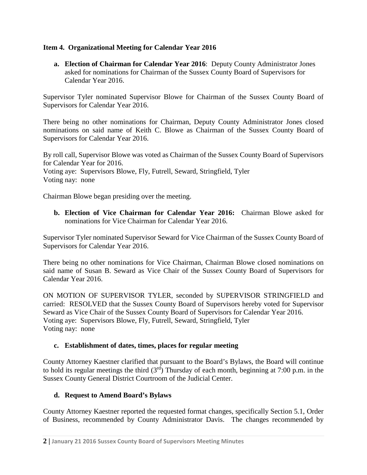### **Item 4. Organizational Meeting for Calendar Year 2016**

**a. Election of Chairman for Calendar Year 2016**: Deputy County Administrator Jones asked for nominations for Chairman of the Sussex County Board of Supervisors for Calendar Year 2016.

Supervisor Tyler nominated Supervisor Blowe for Chairman of the Sussex County Board of Supervisors for Calendar Year 2016.

There being no other nominations for Chairman, Deputy County Administrator Jones closed nominations on said name of Keith C. Blowe as Chairman of the Sussex County Board of Supervisors for Calendar Year 2016.

By roll call, Supervisor Blowe was voted as Chairman of the Sussex County Board of Supervisors for Calendar Year for 2016. Voting aye: Supervisors Blowe, Fly, Futrell, Seward, Stringfield, Tyler Voting nay: none

Chairman Blowe began presiding over the meeting.

**b. Election of Vice Chairman for Calendar Year 2016:** Chairman Blowe asked for nominations for Vice Chairman for Calendar Year 2016.

Supervisor Tyler nominated Supervisor Seward for Vice Chairman of the Sussex County Board of Supervisors for Calendar Year 2016.

There being no other nominations for Vice Chairman, Chairman Blowe closed nominations on said name of Susan B. Seward as Vice Chair of the Sussex County Board of Supervisors for Calendar Year 2016.

ON MOTION OF SUPERVISOR TYLER, seconded by SUPERVISOR STRINGFIELD and carried: RESOLVED that the Sussex County Board of Supervisors hereby voted for Supervisor Seward as Vice Chair of the Sussex County Board of Supervisors for Calendar Year 2016. Voting aye: Supervisors Blowe, Fly, Futrell, Seward, Stringfield, Tyler Voting nay: none

#### **c. Establishment of dates, times, places for regular meeting**

County Attorney Kaestner clarified that pursuant to the Board's Bylaws, the Board will continue to hold its regular meetings the third  $(3<sup>rd</sup>)$  Thursday of each month, beginning at 7:00 p.m. in the Sussex County General District Courtroom of the Judicial Center.

### **d. Request to Amend Board's Bylaws**

County Attorney Kaestner reported the requested format changes, specifically Section 5.1, Order of Business, recommended by County Administrator Davis. The changes recommended by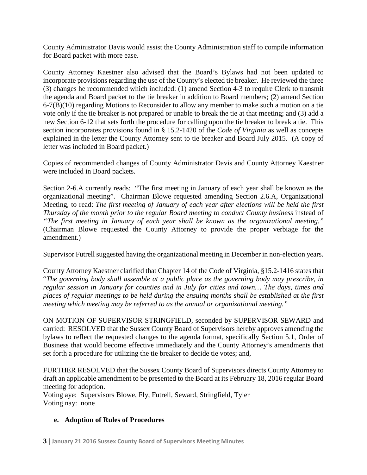County Administrator Davis would assist the County Administration staff to compile information for Board packet with more ease.

County Attorney Kaestner also advised that the Board's Bylaws had not been updated to incorporate provisions regarding the use of the County's elected tie breaker. He reviewed the three (3) changes he recommended which included: (1) amend Section 4-3 to require Clerk to transmit the agenda and Board packet to the tie breaker in addition to Board members; (2) amend Section 6-7(B)(10) regarding Motions to Reconsider to allow any member to make such a motion on a tie vote only if the tie breaker is not prepared or unable to break the tie at that meeting; and (3) add a new Section 6-12 that sets forth the procedure for calling upon the tie breaker to break a tie. This section incorporates provisions found in § 15.2-1420 of the *Code of Virginia* as well as concepts explained in the letter the County Attorney sent to tie breaker and Board July 2015. (A copy of letter was included in Board packet.)

Copies of recommended changes of County Administrator Davis and County Attorney Kaestner were included in Board packets.

Section 2-6.A currently reads: "The first meeting in January of each year shall be known as the organizational meeting". Chairman Blowe requested amending Section 2.6.A, Organizational Meeting*,* to read: *The first meeting of January of each year after elections will be held the first Thursday of the month prior to the regular Board meeting to conduct County business* instead of *"The first meeting in January of each year shall be known as the organizational meeting."* (Chairman Blowe requested the County Attorney to provide the proper verbiage for the amendment.)

Supervisor Futrell suggested having the organizational meeting in December in non-election years.

County Attorney Kaestner clarified that Chapter 14 of the Code of Virginia, §15.2-1416 states that "*The governing body shall assemble at a public place as the governing body may prescribe, in regular session in January for counties and in July for cities and town… The days, times and places of regular meetings to be held during the ensuing months shall be established at the first meeting which meeting may be referred to as the annual or organizational meeting."*

ON MOTION OF SUPERVISOR STRINGFIELD, seconded by SUPERVISOR SEWARD and carried: RESOLVED that the Sussex County Board of Supervisors hereby approves amending the bylaws to reflect the requested changes to the agenda format, specifically Section 5.1, Order of Business that would become effective immediately and the County Attorney's amendments that set forth a procedure for utilizing the tie breaker to decide tie votes; and,

FURTHER RESOLVED that the Sussex County Board of Supervisors directs County Attorney to draft an applicable amendment to be presented to the Board at its February 18, 2016 regular Board meeting for adoption.

Voting aye: Supervisors Blowe, Fly, Futrell, Seward, Stringfield, Tyler Voting nay: none

### **e. Adoption of Rules of Procedures**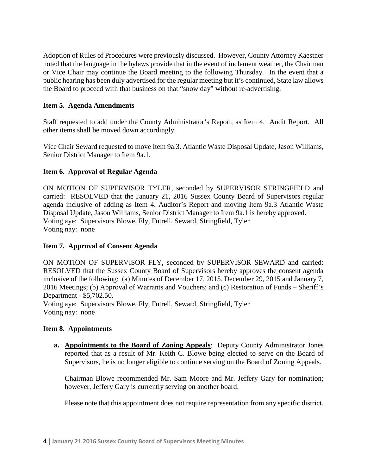Adoption of Rules of Procedures were previously discussed. However, County Attorney Kaestner noted that the language in the bylaws provide that in the event of inclement weather, the Chairman or Vice Chair may continue the Board meeting to the following Thursday. In the event that a public hearing has been duly advertised for the regular meeting but it's continued, State law allows the Board to proceed with that business on that "snow day" without re-advertising.

### **Item 5. Agenda Amendments**

Staff requested to add under the County Administrator's Report, as Item 4. Audit Report. All other items shall be moved down accordingly.

Vice Chair Seward requested to move Item 9a.3. Atlantic Waste Disposal Update, Jason Williams, Senior District Manager to Item 9a.1.

#### **Item 6. Approval of Regular Agenda**

ON MOTION OF SUPERVISOR TYLER, seconded by SUPERVISOR STRINGFIELD and carried: RESOLVED that the January 21, 2016 Sussex County Board of Supervisors regular agenda inclusive of adding as Item 4. Auditor's Report and moving Item 9a.3 Atlantic Waste Disposal Update, Jason Williams, Senior District Manager to Item 9a.1 is hereby approved. Voting aye: Supervisors Blowe, Fly, Futrell, Seward, Stringfield, Tyler Voting nay: none

#### **Item 7. Approval of Consent Agenda**

ON MOTION OF SUPERVISOR FLY, seconded by SUPERVISOR SEWARD and carried: RESOLVED that the Sussex County Board of Supervisors hereby approves the consent agenda inclusive of the following: (a) Minutes of December 17, 2015. December 29, 2015 and January 7, 2016 Meetings; (b) Approval of Warrants and Vouchers; and (c) Restoration of Funds – Sheriff's Department - \$5,702.50.

Voting aye: Supervisors Blowe, Fly, Futrell, Seward, Stringfield, Tyler Voting nay: none

#### **Item 8. Appointments**

**a. Appointments to the Board of Zoning Appeals**: Deputy County Administrator Jones reported that as a result of Mr. Keith C. Blowe being elected to serve on the Board of Supervisors, he is no longer eligible to continue serving on the Board of Zoning Appeals.

Chairman Blowe recommended Mr. Sam Moore and Mr. Jeffery Gary for nomination; however, Jeffery Gary is currently serving on another board.

Please note that this appointment does not require representation from any specific district.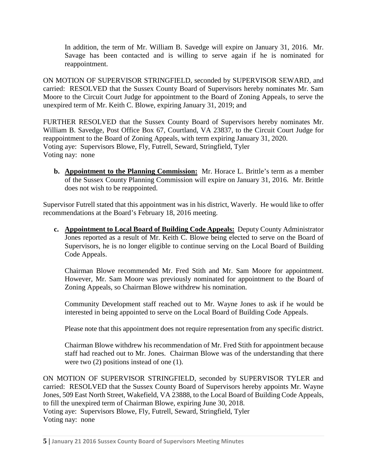In addition, the term of Mr. William B. Savedge will expire on January 31, 2016. Mr. Savage has been contacted and is willing to serve again if he is nominated for reappointment.

ON MOTION OF SUPERVISOR STRINGFIELD, seconded by SUPERVISOR SEWARD, and carried: RESOLVED that the Sussex County Board of Supervisors hereby nominates Mr. Sam Moore to the Circuit Court Judge for appointment to the Board of Zoning Appeals, to serve the unexpired term of Mr. Keith C. Blowe, expiring January 31, 2019; and

FURTHER RESOLVED that the Sussex County Board of Supervisors hereby nominates Mr. William B. Savedge, Post Office Box 67, Courtland, VA 23837, to the Circuit Court Judge for reappointment to the Board of Zoning Appeals, with term expiring January 31, 2020. Voting aye: Supervisors Blowe, Fly, Futrell, Seward, Stringfield, Tyler Voting nay: none

**b. Appointment to the Planning Commission:** Mr. Horace L. Brittle's term as a member of the Sussex County Planning Commission will expire on January 31, 2016. Mr. Brittle does not wish to be reappointed.

Supervisor Futrell stated that this appointment was in his district, Waverly. He would like to offer recommendations at the Board's February 18, 2016 meeting.

**c. Appointment to Local Board of Building Code Appeals:** Deputy County Administrator Jones reported as a result of Mr. Keith C. Blowe being elected to serve on the Board of Supervisors, he is no longer eligible to continue serving on the Local Board of Building Code Appeals.

Chairman Blowe recommended Mr. Fred Stith and Mr. Sam Moore for appointment. However, Mr. Sam Moore was previously nominated for appointment to the Board of Zoning Appeals, so Chairman Blowe withdrew his nomination.

Community Development staff reached out to Mr. Wayne Jones to ask if he would be interested in being appointed to serve on the Local Board of Building Code Appeals.

Please note that this appointment does not require representation from any specific district.

Chairman Blowe withdrew his recommendation of Mr. Fred Stith for appointment because staff had reached out to Mr. Jones. Chairman Blowe was of the understanding that there were two (2) positions instead of one (1).

ON MOTION OF SUPERVISOR STRINGFIELD, seconded by SUPERVISOR TYLER and carried: RESOLVED that the Sussex County Board of Supervisors hereby appoints Mr. Wayne Jones, 509 East North Street, Wakefield, VA 23888, to the Local Board of Building Code Appeals, to fill the unexpired term of Chairman Blowe, expiring June 30, 2018. Voting aye: Supervisors Blowe, Fly, Futrell, Seward, Stringfield, Tyler Voting nay: none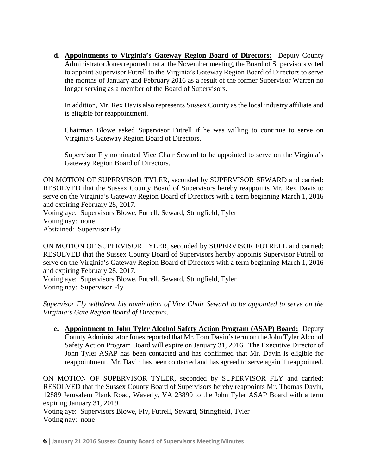**d. Appointments to Virginia's Gateway Region Board of Directors:** Deputy County Administrator Jones reported that at the November meeting, the Board of Supervisors voted to appoint Supervisor Futrell to the Virginia's Gateway Region Board of Directors to serve the months of January and February 2016 as a result of the former Supervisor Warren no longer serving as a member of the Board of Supervisors.

In addition, Mr. Rex Davis also represents Sussex County as the local industry affiliate and is eligible for reappointment.

Chairman Blowe asked Supervisor Futrell if he was willing to continue to serve on Virginia's Gateway Region Board of Directors.

Supervisor Fly nominated Vice Chair Seward to be appointed to serve on the Virginia's Gateway Region Board of Directors.

ON MOTION OF SUPERVISOR TYLER, seconded by SUPERVISOR SEWARD and carried: RESOLVED that the Sussex County Board of Supervisors hereby reappoints Mr. Rex Davis to serve on the Virginia's Gateway Region Board of Directors with a term beginning March 1, 2016 and expiring February 28, 2017.

Voting aye: Supervisors Blowe, Futrell, Seward, Stringfield, Tyler Voting nay: none Abstained: Supervisor Fly

ON MOTION OF SUPERVISOR TYLER, seconded by SUPERVISOR FUTRELL and carried: RESOLVED that the Sussex County Board of Supervisors hereby appoints Supervisor Futrell to serve on the Virginia's Gateway Region Board of Directors with a term beginning March 1, 2016 and expiring February 28, 2017.

Voting aye: Supervisors Blowe, Futrell, Seward, Stringfield, Tyler Voting nay: Supervisor Fly

*Supervisor Fly withdrew his nomination of Vice Chair Seward to be appointed to serve on the Virginia's Gate Region Board of Directors.*

**e. Appointment to John Tyler Alcohol Safety Action Program (ASAP) Board:** Deputy County Administrator Jones reported that Mr. Tom Davin's term on the John Tyler Alcohol Safety Action Program Board will expire on January 31, 2016. The Executive Director of John Tyler ASAP has been contacted and has confirmed that Mr. Davin is eligible for reappointment. Mr. Davin has been contacted and has agreed to serve again if reappointed.

ON MOTION OF SUPERVISOR TYLER, seconded by SUPERVISOR FLY and carried: RESOLVED that the Sussex County Board of Supervisors hereby reappoints Mr. Thomas Davin, 12889 Jerusalem Plank Road, Waverly, VA 23890 to the John Tyler ASAP Board with a term expiring January 31, 2019.

Voting aye: Supervisors Blowe, Fly, Futrell, Seward, Stringfield, Tyler Voting nay: none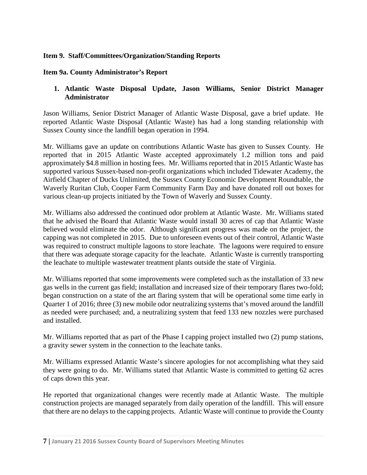### **Item 9. Staff/Committees/Organization/Standing Reports**

#### **Item 9a. County Administrator's Report**

### **1. Atlantic Waste Disposal Update, Jason Williams, Senior District Manager Administrator**

Jason Williams, Senior District Manager of Atlantic Waste Disposal, gave a brief update. He reported Atlantic Waste Disposal (Atlantic Waste) has had a long standing relationship with Sussex County since the landfill began operation in 1994.

Mr. Williams gave an update on contributions Atlantic Waste has given to Sussex County. He reported that in 2015 Atlantic Waste accepted approximately 1.2 million tons and paid approximately \$4.8 million in hosting fees. Mr. Williams reported that in 2015 Atlantic Waste has supported various Sussex-based non-profit organizations which included Tidewater Academy, the Airfield Chapter of Ducks Unlimited, the Sussex County Economic Development Roundtable, the Waverly Ruritan Club, Cooper Farm Community Farm Day and have donated roll out boxes for various clean-up projects initiated by the Town of Waverly and Sussex County.

Mr. Williams also addressed the continued odor problem at Atlantic Waste. Mr. Williams stated that he advised the Board that Atlantic Waste would install 30 acres of cap that Atlantic Waste believed would eliminate the odor. Although significant progress was made on the project, the capping was not completed in 2015. Due to unforeseen events out of their control, Atlantic Waste was required to construct multiple lagoons to store leachate. The lagoons were required to ensure that there was adequate storage capacity for the leachate. Atlantic Waste is currently transporting the leachate to multiple wastewater treatment plants outside the state of Virginia.

Mr. Williams reported that some improvements were completed such as the installation of 33 new gas wells in the current gas field; installation and increased size of their temporary flares two-fold; began construction on a state of the art flaring system that will be operational some time early in Quarter 1 of 2016; three (3) new mobile odor neutralizing systems that's moved around the landfill as needed were purchased; and, a neutralizing system that feed 133 new nozzles were purchased and installed.

Mr. Williams reported that as part of the Phase I capping project installed two (2) pump stations, a gravity sewer system in the connection to the leachate tanks.

Mr. Williams expressed Atlantic Waste's sincere apologies for not accomplishing what they said they were going to do. Mr. Williams stated that Atlantic Waste is committed to getting 62 acres of caps down this year.

He reported that organizational changes were recently made at Atlantic Waste. The multiple construction projects are managed separately from daily operation of the landfill. This will ensure that there are no delays to the capping projects. Atlantic Waste will continue to provide the County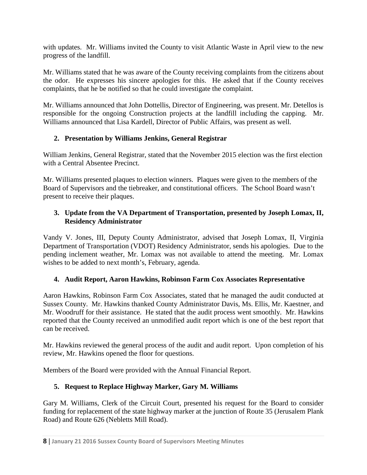with updates. Mr. Williams invited the County to visit Atlantic Waste in April view to the new progress of the landfill.

Mr. Williams stated that he was aware of the County receiving complaints from the citizens about the odor. He expresses his sincere apologies for this. He asked that if the County receives complaints, that he be notified so that he could investigate the complaint.

Mr. Williams announced that John Dottellis, Director of Engineering, was present. Mr. Detellos is responsible for the ongoing Construction projects at the landfill including the capping. Mr. Williams announced that Lisa Kardell, Director of Public Affairs, was present as well.

## **2. Presentation by Williams Jenkins, General Registrar**

William Jenkins, General Registrar, stated that the November 2015 election was the first election with a Central Absentee Precinct.

Mr. Williams presented plaques to election winners. Plaques were given to the members of the Board of Supervisors and the tiebreaker, and constitutional officers. The School Board wasn't present to receive their plaques.

## **3. Update from the VA Department of Transportation, presented by Joseph Lomax, II, Residency Administrator**

Vandy V. Jones, III, Deputy County Administrator, advised that Joseph Lomax, II, Virginia Department of Transportation (VDOT) Residency Administrator, sends his apologies. Due to the pending inclement weather, Mr. Lomax was not available to attend the meeting. Mr. Lomax wishes to be added to next month's, February, agenda.

### **4. Audit Report, Aaron Hawkins, Robinson Farm Cox Associates Representative**

Aaron Hawkins, Robinson Farm Cox Associates, stated that he managed the audit conducted at Sussex County. Mr. Hawkins thanked County Administrator Davis, Ms. Ellis, Mr. Kaestner, and Mr. Woodruff for their assistance. He stated that the audit process went smoothly. Mr. Hawkins reported that the County received an unmodified audit report which is one of the best report that can be received.

Mr. Hawkins reviewed the general process of the audit and audit report. Upon completion of his review, Mr. Hawkins opened the floor for questions.

Members of the Board were provided with the Annual Financial Report.

# **5. Request to Replace Highway Marker, Gary M. Williams**

Gary M. Williams, Clerk of the Circuit Court, presented his request for the Board to consider funding for replacement of the state highway marker at the junction of Route 35 (Jerusalem Plank Road) and Route 626 (Nebletts Mill Road).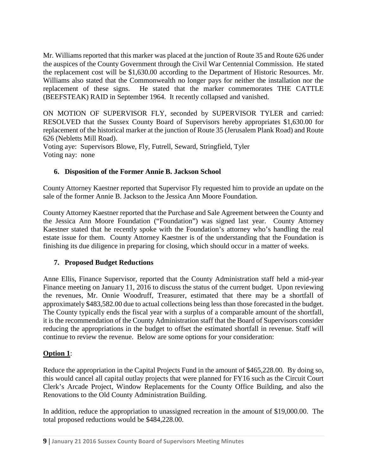Mr. Williams reported that this marker was placed at the junction of Route 35 and Route 626 under the auspices of the County Government through the Civil War Centennial Commission. He stated the replacement cost will be \$1,630.00 according to the Department of Historic Resources. Mr. Williams also stated that the Commonwealth no longer pays for neither the installation nor the replacement of these signs. He stated that the marker commemorates THE CATTLE (BEEFSTEAK) RAID in September 1964. It recently collapsed and vanished.

ON MOTION OF SUPERVISOR FLY, seconded by SUPERVISOR TYLER and carried: RESOLVED that the Sussex County Board of Supervisors hereby appropriates \$1,630.00 for replacement of the historical marker at the junction of Route 35 (Jerusalem Plank Road) and Route 626 (Nebletts Mill Road).

Voting aye: Supervisors Blowe, Fly, Futrell, Seward, Stringfield, Tyler Voting nay: none

### **6. Disposition of the Former Annie B. Jackson School**

County Attorney Kaestner reported that Supervisor Fly requested him to provide an update on the sale of the former Annie B. Jackson to the Jessica Ann Moore Foundation.

County Attorney Kaestner reported that the Purchase and Sale Agreement between the County and the Jessica Ann Moore Foundation ("Foundation") was signed last year. County Attorney Kaestner stated that he recently spoke with the Foundation's attorney who's handling the real estate issue for them. County Attorney Kaestner is of the understanding that the Foundation is finishing its due diligence in preparing for closing, which should occur in a matter of weeks.

### **7. Proposed Budget Reductions**

Anne Ellis, Finance Supervisor, reported that the County Administration staff held a mid-year Finance meeting on January 11, 2016 to discuss the status of the current budget. Upon reviewing the revenues, Mr. Onnie Woodruff, Treasurer, estimated that there may be a shortfall of approximately \$483,582.00 due to actual collections being less than those forecasted in the budget. The County typically ends the fiscal year with a surplus of a comparable amount of the shortfall, it is the recommendation of the County Administration staff that the Board of Supervisors consider reducing the appropriations in the budget to offset the estimated shortfall in revenue. Staff will continue to review the revenue. Below are some options for your consideration:

### **Option 1**:

Reduce the appropriation in the Capital Projects Fund in the amount of \$465,228.00. By doing so, this would cancel all capital outlay projects that were planned for FY16 such as the Circuit Court Clerk's Arcade Project, Window Replacements for the County Office Building, and also the Renovations to the Old County Administration Building.

In addition, reduce the appropriation to unassigned recreation in the amount of \$19,000.00. The total proposed reductions would be \$484,228.00.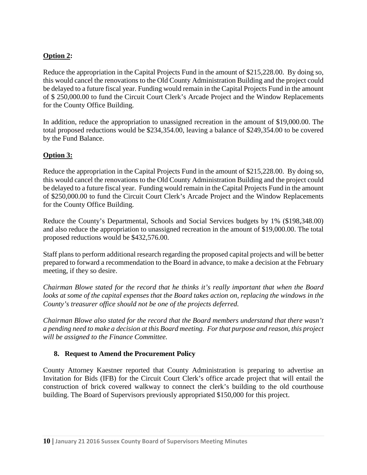## **Option 2:**

Reduce the appropriation in the Capital Projects Fund in the amount of \$215,228.00. By doing so, this would cancel the renovations to the Old County Administration Building and the project could be delayed to a future fiscal year. Funding would remain in the Capital Projects Fund in the amount of \$ 250,000.00 to fund the Circuit Court Clerk's Arcade Project and the Window Replacements for the County Office Building.

In addition, reduce the appropriation to unassigned recreation in the amount of \$19,000.00. The total proposed reductions would be \$234,354.00, leaving a balance of \$249,354.00 to be covered by the Fund Balance.

### **Option 3:**

Reduce the appropriation in the Capital Projects Fund in the amount of \$215,228.00. By doing so, this would cancel the renovations to the Old County Administration Building and the project could be delayed to a future fiscal year. Funding would remain in the Capital Projects Fund in the amount of \$250,000.00 to fund the Circuit Court Clerk's Arcade Project and the Window Replacements for the County Office Building.

Reduce the County's Departmental, Schools and Social Services budgets by 1% (\$198,348.00) and also reduce the appropriation to unassigned recreation in the amount of \$19,000.00. The total proposed reductions would be \$432,576.00.

Staff plans to perform additional research regarding the proposed capital projects and will be better prepared to forward a recommendation to the Board in advance, to make a decision at the February meeting, if they so desire.

*Chairman Blowe stated for the record that he thinks it's really important that when the Board looks at some of the capital expenses that the Board takes action on, replacing the windows in the County's treasurer office should not be one of the projects deferred.* 

*Chairman Blowe also stated for the record that the Board members understand that there wasn't a pending need to make a decision at this Board meeting. For that purpose and reason, this project will be assigned to the Finance Committee.*

#### **8. Request to Amend the Procurement Policy**

County Attorney Kaestner reported that County Administration is preparing to advertise an Invitation for Bids (IFB) for the Circuit Court Clerk's office arcade project that will entail the construction of brick covered walkway to connect the clerk's building to the old courthouse building. The Board of Supervisors previously appropriated \$150,000 for this project.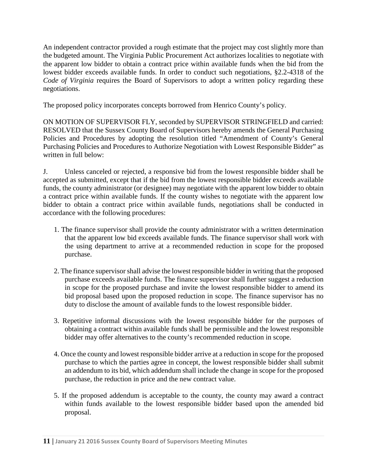An independent contractor provided a rough estimate that the project may cost slightly more than the budgeted amount. The Virginia Public Procurement Act authorizes localities to negotiate with the apparent low bidder to obtain a contract price within available funds when the bid from the lowest bidder exceeds available funds. In order to conduct such negotiations, §2.2-4318 of the *Code of Virginia* requires the Board of Supervisors to adopt a written policy regarding these negotiations.

The proposed policy incorporates concepts borrowed from Henrico County's policy.

ON MOTION OF SUPERVISOR FLY, seconded by SUPERVISOR STRINGFIELD and carried: RESOLVED that the Sussex County Board of Supervisors hereby amends the General Purchasing Policies and Procedures by adopting the resolution titled "Amendment of County's General Purchasing Policies and Procedures to Authorize Negotiation with Lowest Responsible Bidder" as written in full below:

J. Unless canceled or rejected, a responsive bid from the lowest responsible bidder shall be accepted as submitted, except that if the bid from the lowest responsible bidder exceeds available funds, the county administrator (or designee) may negotiate with the apparent low bidder to obtain a contract price within available funds. If the county wishes to negotiate with the apparent low bidder to obtain a contract price within available funds, negotiations shall be conducted in accordance with the following procedures:

- 1. The finance supervisor shall provide the county administrator with a written determination that the apparent low bid exceeds available funds. The finance supervisor shall work with the using department to arrive at a recommended reduction in scope for the proposed purchase.
- 2. The finance supervisor shall advise the lowest responsible bidder in writing that the proposed purchase exceeds available funds. The finance supervisor shall further suggest a reduction in scope for the proposed purchase and invite the lowest responsible bidder to amend its bid proposal based upon the proposed reduction in scope. The finance supervisor has no duty to disclose the amount of available funds to the lowest responsible bidder.
- 3. Repetitive informal discussions with the lowest responsible bidder for the purposes of obtaining a contract within available funds shall be permissible and the lowest responsible bidder may offer alternatives to the county's recommended reduction in scope.
- 4. Once the county and lowest responsible bidder arrive at a reduction in scope for the proposed purchase to which the parties agree in concept, the lowest responsible bidder shall submit an addendum to its bid, which addendum shall include the change in scope for the proposed purchase, the reduction in price and the new contract value.
- 5. If the proposed addendum is acceptable to the county, the county may award a contract within funds available to the lowest responsible bidder based upon the amended bid proposal.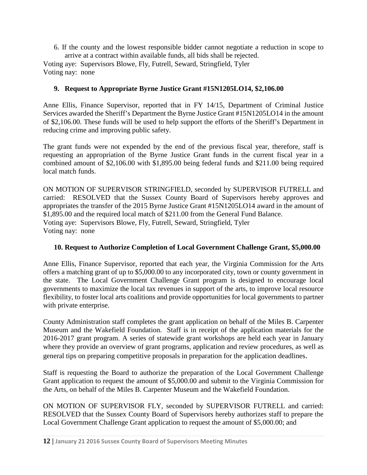6. If the county and the lowest responsible bidder cannot negotiate a reduction in scope to arrive at a contract within available funds, all bids shall be rejected. Voting aye: Supervisors Blowe, Fly, Futrell, Seward, Stringfield, Tyler Voting nay: none

## **9. Request to Appropriate Byrne Justice Grant #15N1205LO14, \$2,106.00**

Anne Ellis, Finance Supervisor, reported that in FY 14/15, Department of Criminal Justice Services awarded the Sheriff's Department the Byrne Justice Grant #15N1205LO14 in the amount of \$2,106.00. These funds will be used to help support the efforts of the Sheriff's Department in reducing crime and improving public safety.

The grant funds were not expended by the end of the previous fiscal year, therefore, staff is requesting an appropriation of the Byrne Justice Grant funds in the current fiscal year in a combined amount of \$2,106.00 with \$1,895.00 being federal funds and \$211.00 being required local match funds.

ON MOTION OF SUPERVISOR STRINGFIELD, seconded by SUPERVISOR FUTRELL and carried: RESOLVED that the Sussex County Board of Supervisors hereby approves and appropriates the transfer of the 2015 Byrne Justice Grant #15N1205LO14 award in the amount of \$1,895.00 and the required local match of \$211.00 from the General Fund Balance. Voting aye: Supervisors Blowe, Fly, Futrell, Seward, Stringfield, Tyler Voting nay: none

### **10. Request to Authorize Completion of Local Government Challenge Grant, \$5,000.00**

Anne Ellis, Finance Supervisor, reported that each year, the Virginia Commission for the Arts offers a matching grant of up to \$5,000.00 to any incorporated city, town or county government in the state. The Local Government Challenge Grant program is designed to encourage local governments to maximize the local tax revenues in support of the arts, to improve local resource flexibility, to foster local arts coalitions and provide opportunities for local governments to partner with private enterprise.

County Administration staff completes the grant application on behalf of the Miles B. Carpenter Museum and the Wakefield Foundation. Staff is in receipt of the application materials for the 2016-2017 grant program. A series of statewide grant workshops are held each year in January where they provide an overview of grant programs, application and review procedures, as well as general tips on preparing competitive proposals in preparation for the application deadlines.

Staff is requesting the Board to authorize the preparation of the Local Government Challenge Grant application to request the amount of \$5,000.00 and submit to the Virginia Commission for the Arts, on behalf of the Miles B. Carpenter Museum and the Wakefield Foundation.

ON MOTION OF SUPERVISOR FLY, seconded by SUPERVISOR FUTRELL and carried: RESOLVED that the Sussex County Board of Supervisors hereby authorizes staff to prepare the Local Government Challenge Grant application to request the amount of \$5,000.00; and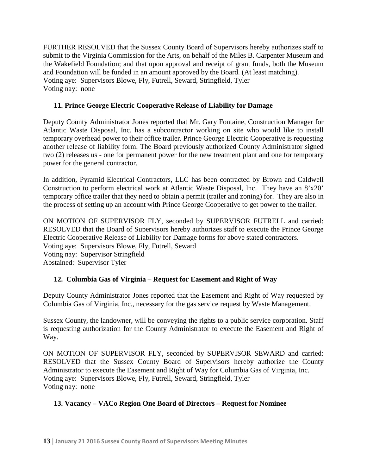FURTHER RESOLVED that the Sussex County Board of Supervisors hereby authorizes staff to submit to the Virginia Commission for the Arts, on behalf of the Miles B. Carpenter Museum and the Wakefield Foundation; and that upon approval and receipt of grant funds, both the Museum and Foundation will be funded in an amount approved by the Board. (At least matching). Voting aye: Supervisors Blowe, Fly, Futrell, Seward, Stringfield, Tyler Voting nay: none

## **11. Prince George Electric Cooperative Release of Liability for Damage**

Deputy County Administrator Jones reported that Mr. Gary Fontaine, Construction Manager for Atlantic Waste Disposal, Inc. has a subcontractor working on site who would like to install temporary overhead power to their office trailer. Prince George Electric Cooperative is requesting another release of liability form. The Board previously authorized County Administrator signed two (2) releases us - one for permanent power for the new treatment plant and one for temporary power for the general contractor.

In addition, Pyramid Electrical Contractors, LLC has been contracted by Brown and Caldwell Construction to perform electrical work at Atlantic Waste Disposal, Inc. They have an 8'x20' temporary office trailer that they need to obtain a permit (trailer and zoning) for. They are also in the process of setting up an account with Prince George Cooperative to get power to the trailer.

ON MOTION OF SUPERVISOR FLY, seconded by SUPERVISOR FUTRELL and carried: RESOLVED that the Board of Supervisors hereby authorizes staff to execute the Prince George Electric Cooperative Release of Liability for Damage forms for above stated contractors. Voting aye: Supervisors Blowe, Fly, Futrell, Seward Voting nay: Supervisor Stringfield Abstained: Supervisor Tyler

# **12. Columbia Gas of Virginia – Request for Easement and Right of Way**

Deputy County Administrator Jones reported that the Easement and Right of Way requested by Columbia Gas of Virginia, Inc., necessary for the gas service request by Waste Management.

Sussex County, the landowner, will be conveying the rights to a public service corporation. Staff is requesting authorization for the County Administrator to execute the Easement and Right of Way.

ON MOTION OF SUPERVISOR FLY, seconded by SUPERVISOR SEWARD and carried: RESOLVED that the Sussex County Board of Supervisors hereby authorize the County Administrator to execute the Easement and Right of Way for Columbia Gas of Virginia, Inc. Voting aye: Supervisors Blowe, Fly, Futrell, Seward, Stringfield, Tyler Voting nay: none

# **13. Vacancy – VACo Region One Board of Directors – Request for Nominee**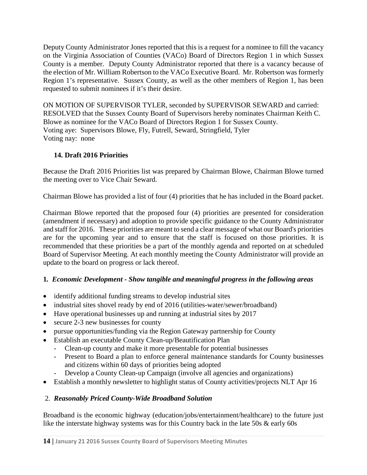Deputy County Administrator Jones reported that this is a request for a nominee to fill the vacancy on the Virginia Association of Counties (VACo) Board of Directors Region 1 in which Sussex County is a member. Deputy County Administrator reported that there is a vacancy because of the election of Mr. William Robertson to the VACo Executive Board. Mr. Robertson was formerly Region 1's representative. Sussex County, as well as the other members of Region 1, has been requested to submit nominees if it's their desire.

ON MOTION OF SUPERVISOR TYLER, seconded by SUPERVISOR SEWARD and carried: RESOLVED that the Sussex County Board of Supervisors hereby nominates Chairman Keith C. Blowe as nominee for the VACo Board of Directors Region 1 for Sussex County. Voting aye: Supervisors Blowe, Fly, Futrell, Seward, Stringfield, Tyler Voting nay: none

# **14. Draft 2016 Priorities**

Because the Draft 2016 Priorities list was prepared by Chairman Blowe, Chairman Blowe turned the meeting over to Vice Chair Seward.

Chairman Blowe has provided a list of four (4) priorities that he has included in the Board packet.

Chairman Blowe reported that the proposed four (4) priorities are presented for consideration (amendment if necessary) and adoption to provide specific guidance to the County Administrator and staff for 2016. These priorities are meant to send a clear message of what our Board's priorities are for the upcoming year and to ensure that the staff is focused on those priorities. It is recommended that these priorities be a part of the monthly agenda and reported on at scheduled Board of Supervisor Meeting. At each monthly meeting the County Administrator will provide an update to the board on progress or lack thereof.

### **1***. Economic Development - Show tangible and meaningful progress in the following areas*

- identify additional funding streams to develop industrial sites
- industrial sites shovel ready by end of 2016 (utilities-water/sewer/broadband)
- Have operational businesses up and running at industrial sites by 2017
- secure 2-3 new businesses for county
- pursue opportunities/funding via the Region Gateway partnership for County
- Establish an executable County Clean-up/Beautification Plan
	- Clean-up county and make it more presentable for potential businesses
	- Present to Board a plan to enforce general maintenance standards for County businesses and citizens within 60 days of priorities being adopted
	- Develop a County Clean-up Campaign (involve all agencies and organizations)
- Establish a monthly newsletter to highlight status of County activities/projects NLT Apr 16

### 2. *Reasonably Priced County-Wide Broadband Solution*

Broadband is the economic highway (education/jobs/entertainment/healthcare) to the future just like the interstate highway systems was for this Country back in the late 50s & early 60s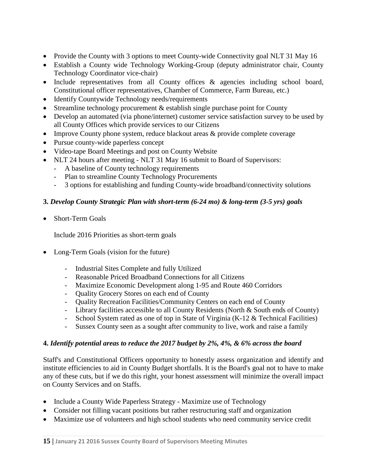- Provide the County with 3 options to meet County-wide Connectivity goal NLT 31 May 16
- Establish a County wide Technology Working-Group (deputy administrator chair, County Technology Coordinator vice-chair)
- Include representatives from all County offices & agencies including school board, Constitutional officer representatives, Chamber of Commerce, Farm Bureau, etc.)
- Identify Countywide Technology needs/requirements
- Streamline technology procurement  $&$  establish single purchase point for County
- Develop an automated (via phone/internet) customer service satisfaction survey to be used by all County Offices which provide services to our Citizens
- Improve County phone system, reduce blackout areas & provide complete coverage
- Pursue county-wide paperless concept
- Video-tape Board Meetings and post on County Website
- NLT 24 hours after meeting NLT 31 May 16 submit to Board of Supervisors:
	- A baseline of County technology requirements
	- Plan to streamline County Technology Procurements
	- 3 options for establishing and funding County-wide broadband/connectivity solutions

## **3.** *Develop County Strategic Plan with short-term (6-24 mo) & long-term (3-5 yrs) goals*

Short-Term Goals

Include 2016 Priorities as short-term goals

- Long-Term Goals (vision for the future)
	- Industrial Sites Complete and fully Utilized
	- Reasonable Priced Broadband Connections for all Citizens
	- Maximize Economic Development along 1-95 and Route 460 Corridors
	- Quality Grocery Stores on each end of County
	- Quality Recreation Facilities/Community Centers on each end of County
	- Library facilities accessible to all County Residents (North & South ends of County)
	- School System rated as one of top in State of Virginia (K-12 & Technical Facilities)
	- Sussex County seen as a sought after community to live, work and raise a family

### **4.** *Identify potential areas to reduce the 2017 budget by 2%, 4%, & 6% across the board*

Staff's and Constitutional Officers opportunity to honestly assess organization and identify and institute efficiencies to aid in County Budget shortfalls. It is the Board's goal not to have to make any of these cuts, but if we do this right, your honest assessment will minimize the overall impact on County Services and on Staffs.

- Include a County Wide Paperless Strategy Maximize use of Technology
- Consider not filling vacant positions but rather restructuring staff and organization
- Maximize use of volunteers and high school students who need community service credit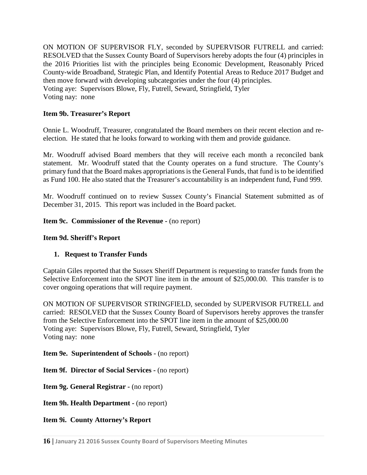ON MOTION OF SUPERVISOR FLY, seconded by SUPERVISOR FUTRELL and carried: RESOLVED that the Sussex County Board of Supervisors hereby adopts the four (4) principles in the 2016 Priorities list with the principles being Economic Development, Reasonably Priced County-wide Broadband, Strategic Plan, and Identify Potential Areas to Reduce 2017 Budget and then move forward with developing subcategories under the four (4) principles. Voting aye: Supervisors Blowe, Fly, Futrell, Seward, Stringfield, Tyler Voting nay: none

### **Item 9b. Treasurer's Report**

Onnie L. Woodruff, Treasurer, congratulated the Board members on their recent election and reelection. He stated that he looks forward to working with them and provide guidance.

Mr. Woodruff advised Board members that they will receive each month a reconciled bank statement. Mr. Woodruff stated that the County operates on a fund structure. The County's primary fund that the Board makes appropriations is the General Funds, that fund is to be identified as Fund 100. He also stated that the Treasurer's accountability is an independent fund, Fund 999.

Mr. Woodruff continued on to review Sussex County's Financial Statement submitted as of December 31, 2015. This report was included in the Board packet.

#### **Item 9c. Commissioner of the Revenue -** (no report)

#### **Item 9d. Sheriff's Report**

#### **1. Request to Transfer Funds**

Captain Giles reported that the Sussex Sheriff Department is requesting to transfer funds from the Selective Enforcement into the SPOT line item in the amount of \$25,000.00. This transfer is to cover ongoing operations that will require payment.

ON MOTION OF SUPERVISOR STRINGFIELD, seconded by SUPERVISOR FUTRELL and carried: RESOLVED that the Sussex County Board of Supervisors hereby approves the transfer from the Selective Enforcement into the SPOT line item in the amount of \$25,000.00 Voting aye: Supervisors Blowe, Fly, Futrell, Seward, Stringfield, Tyler Voting nay: none

**Item 9e. Superintendent of Schools -** (no report)

**Item 9f. Director of Social Services -** (no report)

**Item 9g. General Registrar -** (no report)

**Item 9h. Health Department -** (no report)

**Item 9i. County Attorney's Report**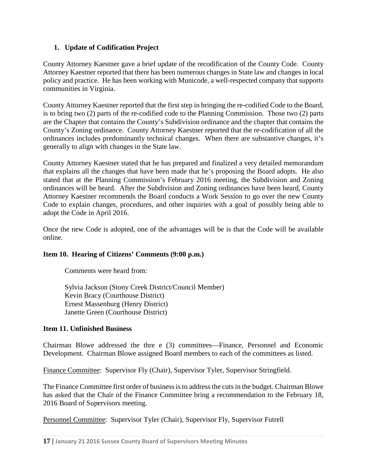### **1. Update of Codification Project**

County Attorney Kaestner gave a brief update of the recodification of the County Code. County Attorney Kaestner reported that there has been numerous changes in State law and changes in local policy and practice. He has been working with Municode, a well-respected company that supports communities in Virginia.

County Attorney Kaestner reported that the first step in bringing the re-codified Code to the Board, is to bring two (2) parts of the re-codified code to the Planning Commission. Those two (2) parts are the Chapter that contains the County's Subdivision ordinance and the chapter that contains the County's Zoning ordinance. County Attorney Kaestner reported that the re-codification of all the ordinances includes predominantly technical changes. When there are substantive changes, it's generally to align with changes in the State law.

County Attorney Kaestner stated that he has prepared and finalized a very detailed memorandum that explains all the changes that have been made that he's proposing the Board adopts. He also stated that at the Planning Commission's February 2016 meeting, the Subdivision and Zoning ordinances will be heard. After the Subdivision and Zoning ordinances have been heard, County Attorney Kaestner recommends the Board conducts a Work Session to go over the new County Code to explain changes, procedures, and other inquiries with a goal of possibly being able to adopt the Code in April 2016.

Once the new Code is adopted, one of the advantages will be is that the Code will be available online.

#### **Item 10. Hearing of Citizens' Comments (9:00 p.m.)**

Comments were heard from:

Sylvia Jackson (Stony Creek District/Council Member) Kevin Bracy (Courthouse District) Ernest Massenburg (Henry District) Janette Green (Courthouse District)

#### **Item 11. Unfinished Business**

Chairman Blowe addressed the thre e (3) committees—Finance, Personnel and Economic Development. Chairman Blowe assigned Board members to each of the committees as listed.

Finance Committee: Supervisor Fly (Chair), Supervisor Tyler, Supervisor Stringfield.

The Finance Committee first order of business is to address the cuts in the budget. Chairman Blowe has asked that the Chair of the Finance Committee bring a recommendation to the February 18, 2016 Board of Supervisors meeting.

Personnel Committee: Supervisor Tyler (Chair), Supervisor Fly, Supervisor Futrell